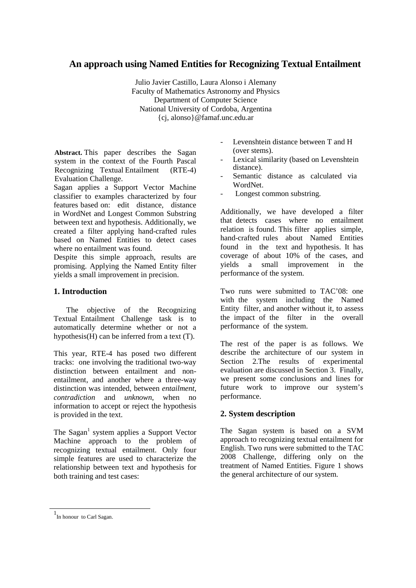# **An approach using Named Entities for Recognizing Textual Entailment**

Julio Javier Castillo, Laura Alonso i Alemany Faculty of Mathematics Astronomy and Physics Department of Computer Science National University of Cordoba, Argentina {cj, alonso}@famaf.unc.edu.ar

**Abstract.** This paper describes the Sagan system in the context of the Fourth Pascal Recognizing Textual Entailment (RTE-4) Evaluation Challenge.

Sagan applies a Support Vector Machine classifier to examples characterized by four features based on: edit distance, distance in WordNet and Longest Common Substring between text and hypothesis. Additionally, we created a filter applying hand-crafted rules based on Named Entities to detect cases where no entailment was found.

Despite this simple approach, results are promising. Applying the Named Entity filter yields a small improvement in precision.

# **1. Introduction**

The objective of the Recognizing Textual Entailment Challenge task is to automatically determine whether or not a hypothesis(H) can be inferred from a text (T).

This year, RTE-4 has posed two different tracks: one involving the traditional two-way distinction between entailment and nonentailment, and another where a three-way distinction was intended, between *entailment*, *contradiction* and *unknown*, when no information to accept or reject the hypothesis is provided in the text.

The Sagan<sup>1</sup> system applies a Support Vector Machine approach to the problem of recognizing textual entailment. Only four simple features are used to characterize the relationship between text and hypothesis for both training and test cases:

- Levenshtein distance between T and H (over stems).
- Lexical similarity (based on Levenshtein distance).
- Semantic distance as calculated via WordNet.
- Longest common substring.

Additionally, we have developed a filter that detects cases where no entailment relation is found. This filter applies simple, hand-crafted rules about Named Entities found in the text and hypothesis. It has coverage of about 10% of the cases, and yields a small improvement in the performance of the system.

Two runs were submitted to TAC'08: one with the system including the Named Entity filter, and another without it, to assess the impact of the filter in the overall performance of the system.

The rest of the paper is as follows. We describe the architecture of our system in Section 2.The results of experimental evaluation are discussed in Section 3. Finally, we present some conclusions and lines for future work to improve our system's performance.

# **2. System description**

The Sagan system is based on a SVM approach to recognizing textual entailment for English. Two runs were submitted to the TAC 2008 Challenge, differing only on the treatment of Named Entities. Figure 1 shows the general architecture of our system.

 $\overline{a}$ 

<sup>1</sup> In honour to Carl Sagan.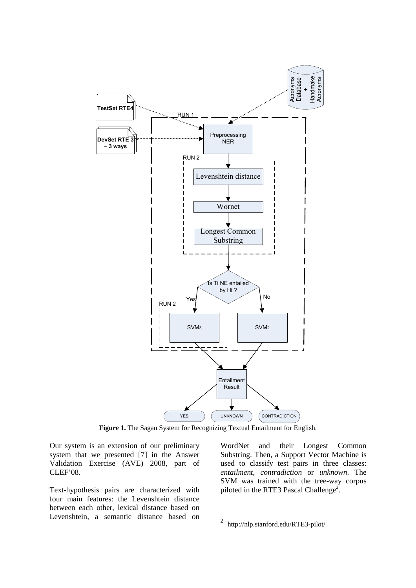

**Figure 1.** The Sagan System for Recognizing Textual Entailment for English.

Our system is an extension of our preliminary system that we presented [7] in the Answer Validation Exercise (AVE) 2008, part of CLEF'08.

Text-hypothesis pairs are characterized with four main features: the Levenshtein distance between each other, lexical distance based on Levenshtein, a semantic distance based on

WordNet and their Longest Common Substring. Then, a Support Vector Machine is used to classify test pairs in three classes: *entailment*, *contradiction* or *unknown*. The SVM was trained with the tree-way corpus piloted in the RTE3 Pascal Challenge<sup>2</sup>.

<sup>&</sup>lt;sup>2</sup> http://nlp.stanford.edu/RTE3-pilot/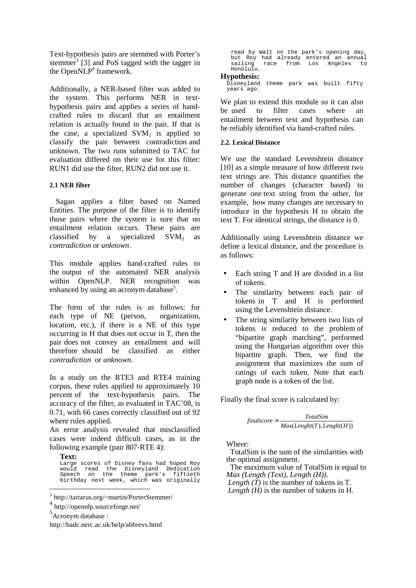Text-hypothesis pairs are stemmed with Porter's stemmer<sup>3</sup> [3] and PoS tagged with the tagger in the Open $NLP<sup>4</sup>$  framework.

Additionally, a NER-based filter was added to the system. This performs NER in texthypothesis pairs and applies a series of handcrafted rules to discard that an entailment relation is actually found in the pair. If that is the case, a specialized  $SVM<sub>2</sub>$  is applied to classify the pair between contradiction and unknown. The two runs submitted to TAC for evaluation differed on their use for this filter: RUN1 did use the filter, RUN2 did not use it.

## **2.1 NER filter**

Sagan applies a filter based on Named Entities. The purpose of the filter is to identify those pairs where the system is sure that no entailment relation occurs. These pairs are classified by a specialized  $SVM<sub>2</sub>$  as *contradiction* or *unknown*.

This module applies hand-crafted rules to the output of the automated NER analysis within OpenNLP. NER recognition was enhanced by using an acronym database<sup>5</sup>.

The form of the rules is as follows: for each type of NE (person, organization, location, etc.), if there is a NE of this type occurring in H that does not occur in T, then the pair does not convey an entailment and will therefore should be classified as either *contradiction* or *unknown*.

In a study on the RTE3 and RTE4 training corpus, these rules applied to approximately 10 percent of the text-hypothesis pairs. The accuracy of the filter, as evaluated in TAC'08, is 0.71, with 66 cases correctly classified out of 92 where rules applied.

An error analysis revealed that misclassified cases were indeed difficult cases, as in the following example (pair 807-RTE 4):

**Text:**

 $\overline{a}$ 

Large scores of Disney fans had hoped Roy would read the Disneyland Dedication Speech on the theme park's fiftieth birthday next week, which was originally read by Walt on the park's opening day, but Roy had already entered an annual sailing race from Los Angeles to Honolulu.

#### **Hypothesis:**

Disneyland theme park was built fifty years ago.

We plan to extend this module so it can also be used to filter cases where an entailment between text and hypothesis can be reliably identified via hand-crafted rules.

### **2.2. Lexical Distance**

We use the standard Levenshtein distance [10] as a simple measure of how different two text strings are. This distance quantifies the number of changes (character based) to generate one text string from the other, for example, how many changes are necessary to introduce in the hypothesis H to obtain the text T. For identical strings, the distance is 0.

Additionally using Levenshtein distance we define a lexical distance, and the procedure is as follows:

- Each string T and H are divided in a list of tokens.
- The similarity between each pair of tokens in T and H is performed using the Levenshtein distance.
- The string similarity between two lists of tokens is reduced to the problem of "bipartite graph matching", performed using the Hungarian algorithm over this bipartite graph. Then, we find the assignment that maximizes the sum of ratings of each token. Note that each graph node is a token of the list.

Finally the final score is calculated by:

$$
finalscore = \frac{TotalSim}{Max(Length(T), Length(H))}
$$

Where:

 TotalSim is the sum of the similarities with the optimal assignment.

 The maximum value of TotalSim is equal to *Max (Length (Text), Length (H))*.

*Length*  $(T)$  is the number of tokens in T. *Length (H)* is the number of tokens in H.

<sup>3</sup> http://tartarus.org/~martin/PorterStemmer/

<sup>4</sup> http://opennlp.sourceforge.net/

<sup>5</sup> Acronym database :

http://badc.nerc.ac.uk/help/abbrevs.html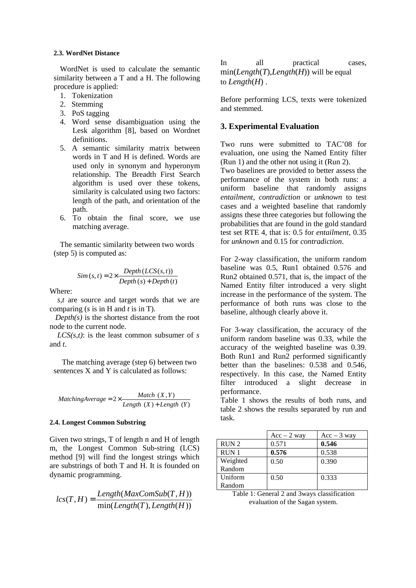#### **2.3. WordNet Distance**

WordNet is used to calculate the semantic similarity between a T and a H. The following procedure is applied:

- 1. Tokenization
- 2. Stemming
- 3. PoS tagging
- 4. Word sense disambiguation using the Lesk algorithm [8], based on Wordnet definitions.
- 5. A semantic similarity matrix between words in T and H is defined. Words are used only in synonym and hyperonym relationship. The Breadth First Search algorithm is used over these tokens, similarity is calculated using two factors: length of the path, and orientation of the path.
- 6. To obtain the final score, we use matching average.

The semantic similarity between two words (step 5) is computed as:

$$
Sim(s, t) = 2 \times \frac{Depth(LCS(s, t))}{Depth(s) + Depth(t)}
$$

Where:

 *s,t* are source and target words that we are comparing (*s* is in H and *t* is in T).

 $Depth(s)$  is the shortest distance from the root node to the current node.

 *LCS(s,t)*: is the least common subsumer of *s*  and *t*.

The matching average (step 6) between two sentences X and Y is calculated as follows:

 $(X)$  + Length  $(Y)$  $2 \times \frac{Match(X, Y)}{Length(X) + Length(Y)}$  $\textit{Match } (X, Y)$ <br>  $\textit{Match } (X, Y)$ <br>  $\textit{Length } (X)$  + Leng

#### **2.4. Longest Common Substring**

Given two strings, T of length n and H of length m, the Longest Common Sub-string (LCS) method [9] will find the longest strings which are substrings of both T and H. It is founded on dynamic programming.

$$
lcs(T, H) = \frac{Length(MaxComSub(T, H))}{min(Length(T), Length(H))}
$$

In all practical cases, min(*Length*(*T*),*Length*(*H*)) will be equal to *Length*(*H*) .

Before performing LCS, texts were tokenized and stemmed.

# **3. Experimental Evaluation**

Two runs were submitted to TAC'08 for evaluation, one using the Named Entity filter (Run 1) and the other not using it (Run 2).

Two baselines are provided to better assess the performance of the system in both runs: a uniform baseline that randomly assigns *entailment, contradiction* or *unknown* to test cases and a weighted baseline that randomly assigns these three categories but following the probabilities that are found in the gold standard test set RTE 4, that is: 0.5 for *entailment*, 0.35 for *unknown* and 0.15 for *contradiction*.

For 2-way classification, the uniform random baseline was 0.5, Run1 obtained 0.576 and Run2 obtained 0.571, that is, the impact of the Named Entity filter introduced a very slight increase in the performance of the system. The performance of both runs was close to the baseline, although clearly above it.

For 3-way classification, the accuracy of the uniform random baseline was 0.33, while the accuracy of the weighted baseline was 0.39. Both Run1 and Run2 performed significantly better than the baselines: 0.538 and 0.546, respectively. In this case, the Named Entity filter introduced a slight decrease in performance.

Table 1 shows the results of both runs, and table 2 shows the results separated by run and task.

|                  | $Acc - 2$ way | $Acc - 3$ way |
|------------------|---------------|---------------|
| RUN <sub>2</sub> | 0.571         | 0.546         |
| RUN 1            | 0.576         | 0.538         |
| Weighted         | 0.50          | 0.390         |
| Random           |               |               |
| Uniform          | 0.50          | 0.333         |
| Random           |               |               |

Table 1: General 2 and 3ways classification evaluation of the Sagan system.